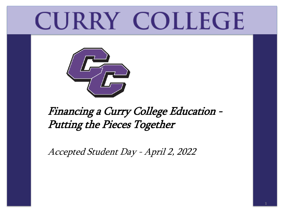# **CURRY COLLEGE**



#### Financing a Curry College Education - Putting the Pieces Together

Accepted Student Day - April 2, 2022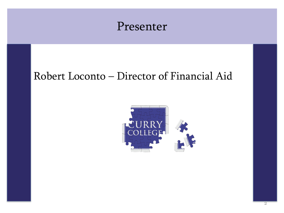#### Presenter

#### Robert Loconto – Director of Financial Aid

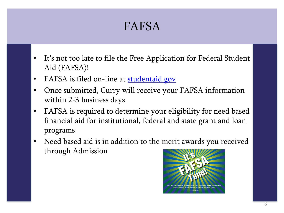#### FAFSA

- It's not too late to file the Free Application for Federal Student Aid (FAFSA)!
- FAFSA is filed on-line at [studentaid.gov](http://www.studentaid.gov/)
- Once submitted, Curry will receive your FAFSA information within 2-3 business days
- FAFSA is required to determine your eligibility for need based financial aid for institutional, federal and state grant and loan programs
- Need based aid is in addition to the merit awards you received through Admission

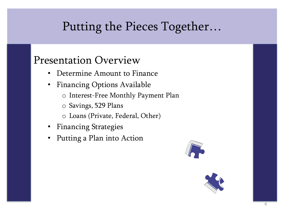### Putting the Pieces Together…

#### Presentation Overview

- Determine Amount to Finance
- Financing Options Available
	- o Interest-Free Monthly Payment Plan
	- o Savings, 529 Plans
	- o Loans (Private, Federal, Other)
- Financing Strategies
- Putting a Plan into Action



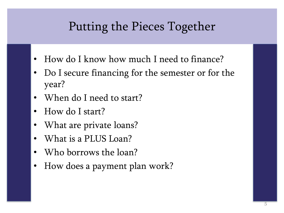### Putting the Pieces Together

- How do I know how much I need to finance?
- Do I secure financing for the semester or for the year?
- When do I need to start?
- How do I start?
- What are private loans?
- What is a PLUS Loan?
- Who borrows the loan?
- How does a payment plan work?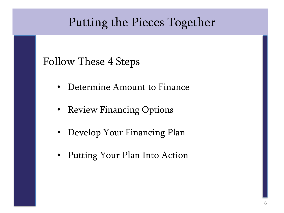### Putting the Pieces Together

#### Follow These 4 Steps

- Determine Amount to Finance
- Review Financing Options
- Develop Your Financing Plan
- Putting Your Plan Into Action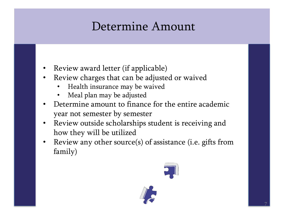### Determine Amount

- Review award letter (if applicable)
- Review charges that can be adjusted or waived
	- Health insurance may be waived
	- Meal plan may be adjusted
- Determine amount to finance for the entire academic year not semester by semester
- Review outside scholarships student is receiving and how they will be utilized
- Review any other source(s) of assistance (i.e. gifts from family)

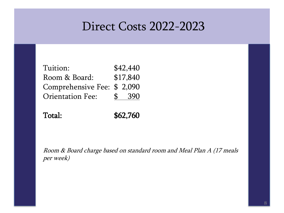### Direct Costs 2022-2023

| Tuition:                   |              | \$42,440 |
|----------------------------|--------------|----------|
| Room & Board:              |              | \$17,840 |
| Comprehensive Fee: \$2,090 |              |          |
| <b>Orientation Fee:</b>    | $\mathbf{S}$ | -390     |

Total: \$62,760

Room & Board charge based on standard room and Meal Plan A (17 meals per week)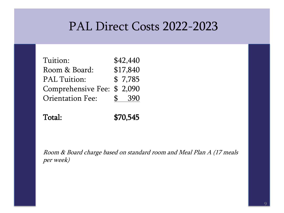#### PAL Direct Costs 2022-2023

| Tuition:                   | \$42,440    |
|----------------------------|-------------|
| Room & Board:              | \$17,840    |
| <b>PAL Tuition:</b>        | \$7,785     |
| Comprehensive Fee: \$2,090 |             |
| <b>Orientation Fee:</b>    | \$<br>- 390 |

| Total: | \$70,545 |
|--------|----------|
|        |          |

Room & Board charge based on standard room and Meal Plan A (17 meals per week)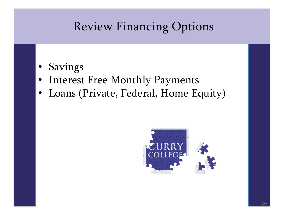- Savings
- Interest Free Monthly Payments
- Loans (Private, Federal, Home Equity)

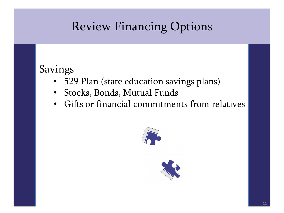#### Savings

- 529 Plan (state education savings plans)
- Stocks, Bonds, Mutual Funds
- Gifts or financial commitments from relatives



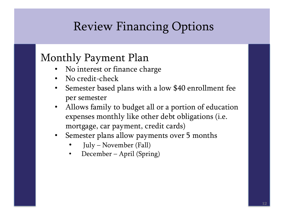#### Monthly Payment Plan

- No interest or finance charge
- No credit-check
- Semester based plans with a low \$40 enrollment fee per semester
- Allows family to budget all or a portion of education expenses monthly like other debt obligations (i.e. mortgage, car payment, credit cards)
- Semester plans allow payments over 5 months
	- July November (Fall)
	- December April (Spring)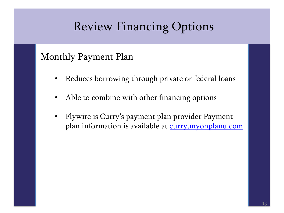#### Monthly Payment Plan

- Reduces borrowing through private or federal loans
- Able to combine with other financing options
- Flywire is Curry's payment plan provider Payment plan information is available at [curry.myonplanu.com](http://www.curry.myonplanu.com/)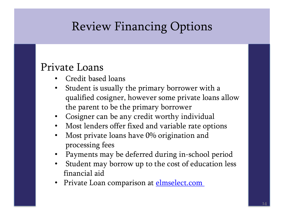#### Private Loans

- Credit based loans
- Student is usually the primary borrower with a qualified cosigner, however some private loans allow the parent to be the primary borrower
- Cosigner can be any credit worthy individual
- Most lenders offer fixed and variable rate options
- Most private loans have 0% origination and processing fees
- Payments may be deferred during in-school period
- Student may borrow up to the cost of education less financial aid
- Private Loan comparison at **elmselect.com**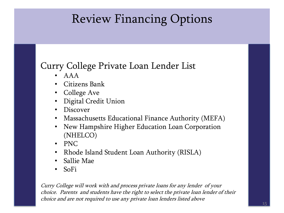#### Curry College Private Loan Lender List

- $\bullet$   $A A A$
- Citizens Bank
- College Ave
- Digital Credit Union
- Discover
- Massachusetts Educational Finance Authority (MEFA)
- New Hampshire Higher Education Loan Corporation (NHELCO)
- PNC
- Rhode Island Student Loan Authority (RISLA)
- Sallie Mae
- SoFi

Curry College will work with and process private loans for any lender of your choice. Parents and students have the right to select the private loan lender of their choice and are not required to use any private loan lenders listed above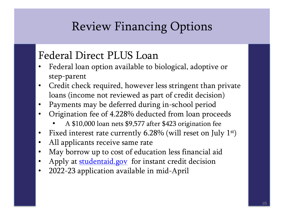#### Federal Direct PLUS Loan

- Federal loan option available to biological, adoptive or step-parent
- Credit check required, however less stringent than private loans (income not reviewed as part of credit decision)
- Payments may be deferred during in-school period
- Origination fee of 4.228% deducted from loan proceeds
	- A \$10,000 loan nets \$9,577 after \$423 origination fee
- Fixed interest rate currently  $6.28\%$  (will reset on July  $1<sup>st</sup>$ )
- All applicants receive same rate
- May borrow up to cost of education less financial aid
- Apply at **studentaid.gov** for instant credit decision
- 2022-23 application available in mid-April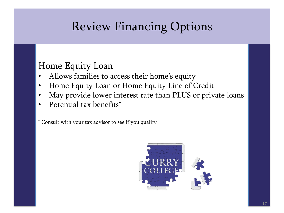#### Home Equity Loan

- Allows families to access their home's equity
- Home Equity Loan or Home Equity Line of Credit
- May provide lower interest rate than PLUS or private loans
- Potential tax benefits\*

\* Consult with your tax advisor to see if you qualify

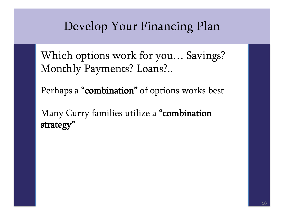Which options work for you… Savings? Monthly Payments? Loans?..

Perhaps a "combination" of options works best

Many Curry families utilize a "combination strategy"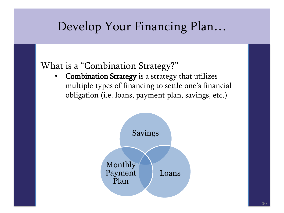#### What is a "Combination Strategy?"

Combination Strategy is a strategy that utilizes multiple types of financing to settle one's financial obligation (i.e. loans, payment plan, savings, etc.)

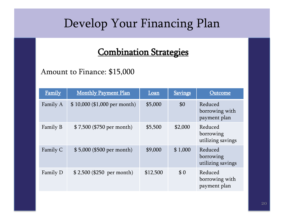#### Combination Strategies

#### Amount to Finance: \$15,000

| <b>Family</b> | <b>Monthly Payment Plan</b>  | Loan     | <b>Savings</b> | Outcome                                   |
|---------------|------------------------------|----------|----------------|-------------------------------------------|
| Family A      | \$10,000 (\$1,000 per month) | \$5,000  | \$0            | Reduced<br>borrowing with<br>payment plan |
| Family B      | \$7,500 (\$750 per month)    | \$5,500  | \$2,000        | Reduced<br>borrowing<br>utilizing savings |
| Family C      | \$5,000 (\$500 per month)    | \$9,000  | \$1,000        | Reduced<br>borrowing<br>utilizing savings |
| Family D      | $$2,500$ (\$250 per month)   | \$12,500 | \$0            | Reduced<br>borrowing with<br>payment plan |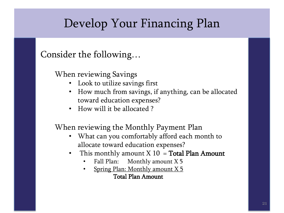Consider the following…

When reviewing Savings

- Look to utilize savings first
- How much from savings, if anything, can be allocated toward education expenses?
- How will it be allocated ?

When reviewing the Monthly Payment Plan

- What can you comfortably afford each month to allocate toward education expenses?
- This monthly amount  $X$  10 = **Total Plan Amount** 
	- Fall Plan: Monthly amount X 5
	- Spring Plan: Monthly amount X 5 Total Plan Amount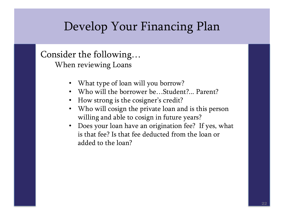Consider the following…

When reviewing Loans

- What type of loan will you borrow?
- Who will the borrower be...Student?... Parent?
- How strong is the cosigner's credit?
- Who will cosign the private loan and is this person willing and able to cosign in future years?
- Does your loan have an origination fee? If yes, what is that fee? Is that fee deducted from the loan or added to the loan?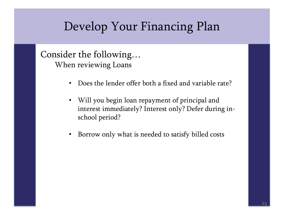Consider the following… When reviewing Loans

- Does the lender offer both a fixed and variable rate?
- Will you begin loan repayment of principal and interest immediately? Interest only? Defer during inschool period?
- Borrow only what is needed to satisfy billed costs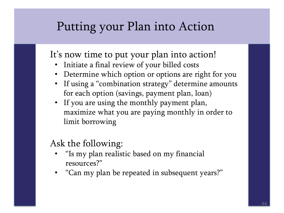### Putting your Plan into Action

It's now time to put your plan into action!

- Initiate a final review of your billed costs
- Determine which option or options are right for you
- If using a "combination strategy" determine amounts for each option (savings, payment plan, loan)
- If you are using the monthly payment plan, maximize what you are paying monthly in order to limit borrowing

#### Ask the following:

- "Is my plan realistic based on my financial resources?"
- "Can my plan be repeated in subsequent years?"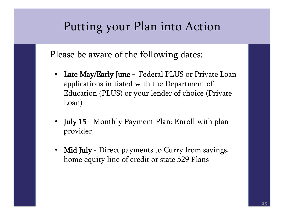### Putting your Plan into Action

Please be aware of the following dates:

- Late May/Early June Federal PLUS or Private Loan applications initiated with the Department of Education (PLUS) or your lender of choice (Private Loan)
- July 15 Monthly Payment Plan: Enroll with plan provider
- Mid July Direct payments to Curry from savings, home equity line of credit or state 529 Plans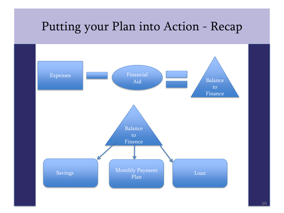# Putting your Plan into Action - Recap

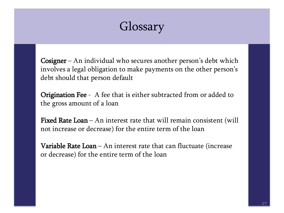# Glossary

**Cosigner** – An individual who secures another person's debt which involves a legal obligation to make payments on the other person's debt should that person default

**Origination Fee** - A fee that is either subtracted from or added to the gross amount of a loan

Fixed Rate Loan – An interest rate that will remain consistent (will not increase or decrease) for the entire term of the loan

**Variable Rate Loan** – An interest rate that can fluctuate (increase or decrease) for the entire term of the loan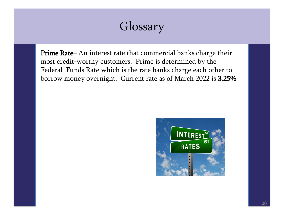# Glossary

Prime Rate– An interest rate that commercial banks charge their most credit-worthy customers. Prime is determined by the Federal Funds Rate which is the rate banks charge each other to borrow money overnight. Current rate as of March 2022 is 3.25%

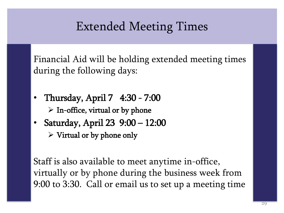### Extended Meeting Times

Financial Aid will be holding extended meeting times during the following days:

- Thursday, April 7 4:30 7:00  $\triangleright$  In-office, virtual or by phone
- Saturday, April 23 9:00 12:00  $\triangleright$  Virtual or by phone only

Staff is also available to meet anytime in-office, virtually or by phone during the business week from 9:00 to 3:30. Call or email us to set up a meeting time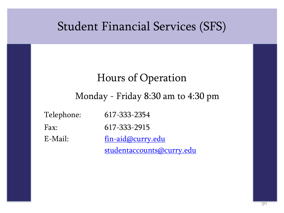#### Student Financial Services (SFS)

#### Hours of Operation

#### Monday - Friday 8:30 am to 4:30 pm

| Telephone: | 617-333-2354              |
|------------|---------------------------|
| Fax:       | 617-333-2915              |
| E-Mail:    | fin-aid@curry.edu         |
|            | studentaccounts@curry.edu |